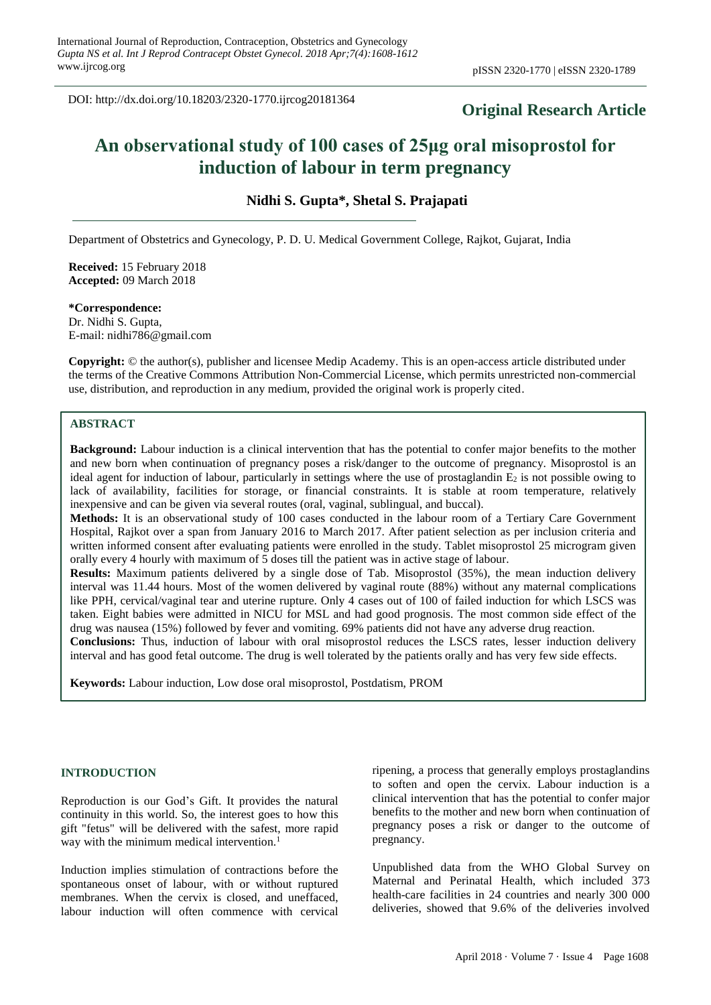DOI: http://dx.doi.org/10.18203/2320-1770.ijrcog20181364

# **Original Research Article**

# **An observational study of 100 cases of 25μg oral misoprostol for induction of labour in term pregnancy**

**Nidhi S. Gupta\*, Shetal S. Prajapati**

Department of Obstetrics and Gynecology, P. D. U. Medical Government College, Rajkot, Gujarat, India

**Received:** 15 February 2018 **Accepted:** 09 March 2018

**\*Correspondence:** Dr. Nidhi S. Gupta, E-mail: nidhi786@gmail.com

**Copyright:** © the author(s), publisher and licensee Medip Academy. This is an open-access article distributed under the terms of the Creative Commons Attribution Non-Commercial License, which permits unrestricted non-commercial use, distribution, and reproduction in any medium, provided the original work is properly cited.

# **ABSTRACT**

**Background:** Labour induction is a clinical intervention that has the potential to confer major benefits to the mother and new born when continuation of pregnancy poses a risk/danger to the outcome of pregnancy. Misoprostol is an ideal agent for induction of labour, particularly in settings where the use of prostaglandin  $E_2$  is not possible owing to lack of availability, facilities for storage, or financial constraints. It is stable at room temperature, relatively inexpensive and can be given via several routes (oral, vaginal, sublingual, and buccal).

**Methods:** It is an observational study of 100 cases conducted in the labour room of a Tertiary Care Government Hospital, Rajkot over a span from January 2016 to March 2017. After patient selection as per inclusion criteria and written informed consent after evaluating patients were enrolled in the study. Tablet misoprostol 25 microgram given orally every 4 hourly with maximum of 5 doses till the patient was in active stage of labour.

**Results:** Maximum patients delivered by a single dose of Tab. Misoprostol (35%), the mean induction delivery interval was 11.44 hours. Most of the women delivered by vaginal route (88%) without any maternal complications like PPH, cervical/vaginal tear and uterine rupture. Only 4 cases out of 100 of failed induction for which LSCS was taken. Eight babies were admitted in NICU for MSL and had good prognosis. The most common side effect of the drug was nausea (15%) followed by fever and vomiting. 69% patients did not have any adverse drug reaction.

**Conclusions:** Thus, induction of labour with oral misoprostol reduces the LSCS rates, lesser induction delivery interval and has good fetal outcome. The drug is well tolerated by the patients orally and has very few side effects.

**Keywords:** Labour induction, Low dose oral misoprostol, Postdatism, PROM

#### **INTRODUCTION**

Reproduction is our God's Gift. It provides the natural continuity in this world. So, the interest goes to how this gift "fetus" will be delivered with the safest, more rapid way with the minimum medical intervention.<sup>1</sup>

Induction implies stimulation of contractions before the spontaneous onset of labour, with or without ruptured membranes. When the cervix is closed, and uneffaced, labour induction will often commence with cervical

ripening, a process that generally employs prostaglandins to soften and open the cervix. Labour induction is a clinical intervention that has the potential to confer major benefits to the mother and new born when continuation of pregnancy poses a risk or danger to the outcome of pregnancy.

Unpublished data from the WHO Global Survey on Maternal and Perinatal Health, which included 373 health-care facilities in 24 countries and nearly 300 000 deliveries, showed that 9.6% of the deliveries involved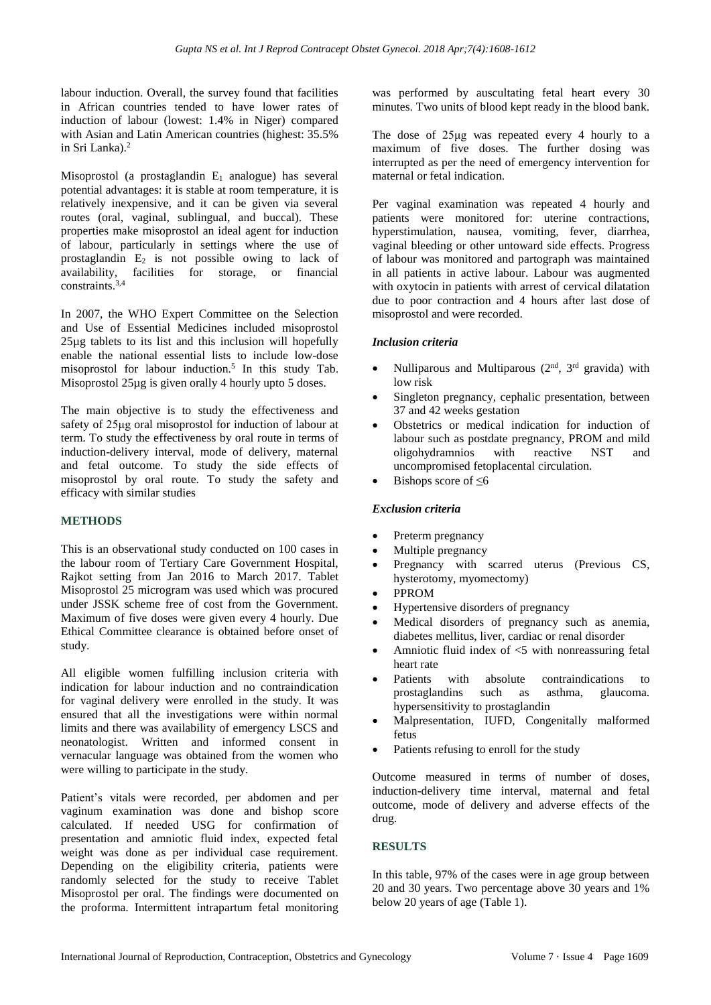labour induction. Overall, the survey found that facilities in African countries tended to have lower rates of induction of labour (lowest: 1.4% in Niger) compared with Asian and Latin American countries (highest: 35.5% in Sri Lanka).<sup>2</sup>

Misoprostol (a prostaglandin  $E_1$  analogue) has several potential advantages: it is stable at room temperature, it is relatively inexpensive, and it can be given via several routes (oral, vaginal, sublingual, and buccal). These properties make misoprostol an ideal agent for induction of labour, particularly in settings where the use of prostaglandin  $E_2$  is not possible owing to lack of availability, facilities for storage, or financial constraints.3,4

In 2007, the WHO Expert Committee on the Selection and Use of Essential Medicines included misoprostol 25µg tablets to its list and this inclusion will hopefully enable the national essential lists to include low-dose misoprostol for labour induction.<sup>5</sup> In this study Tab. Misoprostol 25µg is given orally 4 hourly upto 5 doses.

The main objective is to study the effectiveness and safety of 25μg oral misoprostol for induction of labour at term. To study the effectiveness by oral route in terms of induction-delivery interval, mode of delivery, maternal and fetal outcome. To study the side effects of misoprostol by oral route. To study the safety and efficacy with similar studies

## **METHODS**

This is an observational study conducted on 100 cases in the labour room of Tertiary Care Government Hospital, Rajkot setting from Jan 2016 to March 2017. Tablet Misoprostol 25 microgram was used which was procured under JSSK scheme free of cost from the Government. Maximum of five doses were given every 4 hourly. Due Ethical Committee clearance is obtained before onset of study.

All eligible women fulfilling inclusion criteria with indication for labour induction and no contraindication for vaginal delivery were enrolled in the study. It was ensured that all the investigations were within normal limits and there was availability of emergency LSCS and neonatologist. Written and informed consent in vernacular language was obtained from the women who were willing to participate in the study.

Patient's vitals were recorded, per abdomen and per vaginum examination was done and bishop score calculated. If needed USG for confirmation of presentation and amniotic fluid index, expected fetal weight was done as per individual case requirement. Depending on the eligibility criteria, patients were randomly selected for the study to receive Tablet Misoprostol per oral. The findings were documented on the proforma. Intermittent intrapartum fetal monitoring was performed by auscultating fetal heart every 30 minutes. Two units of blood kept ready in the blood bank.

The dose of 25μg was repeated every 4 hourly to a maximum of five doses. The further dosing was interrupted as per the need of emergency intervention for maternal or fetal indication.

Per vaginal examination was repeated 4 hourly and patients were monitored for: uterine contractions, hyperstimulation, nausea, vomiting, fever, diarrhea, vaginal bleeding or other untoward side effects. Progress of labour was monitored and partograph was maintained in all patients in active labour. Labour was augmented with oxytocin in patients with arrest of cervical dilatation due to poor contraction and 4 hours after last dose of misoprostol and were recorded.

# *Inclusion criteria*

- Nulliparous and Multiparous  $(2<sup>nd</sup>, 3<sup>rd</sup>$  gravida) with low risk
- Singleton pregnancy, cephalic presentation, between 37 and 42 weeks gestation
- Obstetrics or medical indication for induction of labour such as postdate pregnancy, PROM and mild oligohydramnios with reactive NST and uncompromised fetoplacental circulation.
- Bishops score of  $\leq 6$

# *Exclusion criteria*

- Preterm pregnancy
- Multiple pregnancy
- Pregnancy with scarred uterus (Previous CS, hysterotomy, myomectomy)
- PPROM
- Hypertensive disorders of pregnancy
- Medical disorders of pregnancy such as anemia, diabetes mellitus, liver, cardiac or renal disorder
- Amniotic fluid index of  $\lt$ 5 with nonreassuring fetal heart rate
- Patients with absolute contraindications to prostaglandins such as asthma, glaucoma. hypersensitivity to prostaglandin
- Malpresentation, IUFD, Congenitally malformed fetus
- Patients refusing to enroll for the study

Outcome measured in terms of number of doses, induction-delivery time interval, maternal and fetal outcome, mode of delivery and adverse effects of the drug.

# **RESULTS**

In this table, 97% of the cases were in age group between 20 and 30 years. Two percentage above 30 years and 1% below 20 years of age (Table 1).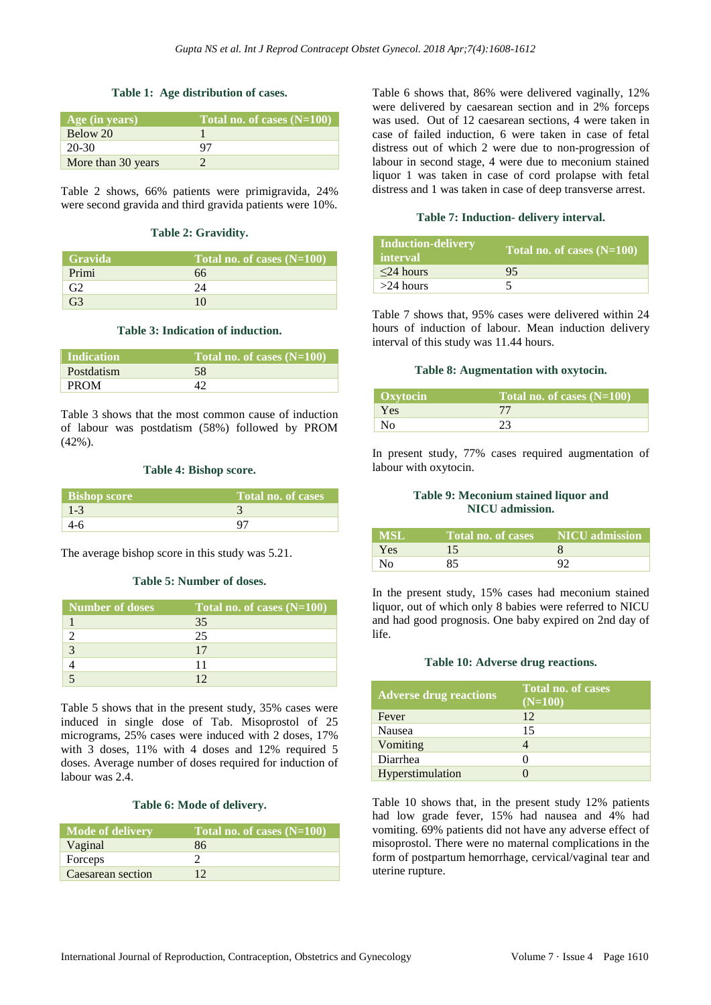#### **Table 1: Age distribution of cases.**

| $\overline{A}$ ge (in years) | Total no. of cases $(N=100)$ |
|------------------------------|------------------------------|
| Below 20                     |                              |
| $20-30$                      | 97                           |
| More than 30 years           |                              |

Table 2 shows, 66% patients were primigravida, 24% were second gravida and third gravida patients were 10%.

#### **Table 2: Gravidity.**

| <b>Gravida</b> | Total no. of cases $(N=100)$ |
|----------------|------------------------------|
| Primi          | 66                           |
| G <sub>2</sub> | 24                           |
| G3             | 10                           |

#### **Table 3: Indication of induction.**

| <b>Indication</b> | Total no. of cases $(N=100)$ |
|-------------------|------------------------------|
| Postdatism        | 58                           |
| <b>PROM</b>       |                              |

Table 3 shows that the most common cause of induction of labour was postdatism (58%) followed by PROM (42%).

#### **Table 4: Bishop score.**

| <b>Bishop score</b> | Total no. of cases |
|---------------------|--------------------|
| $1 - 3$             |                    |
|                     |                    |

The average bishop score in this study was 5.21.

#### **Table 5: Number of doses.**

| Number of doses | Total no. of cases (N=100) |
|-----------------|----------------------------|
|                 | 35                         |
|                 | 25                         |
|                 | 17                         |
|                 |                            |
|                 |                            |

Table 5 shows that in the present study, 35% cases were induced in single dose of Tab. Misoprostol of 25 micrograms, 25% cases were induced with 2 doses, 17% with 3 doses, 11% with 4 doses and 12% required 5 doses. Average number of doses required for induction of labour was 2.4.

#### **Table 6: Mode of delivery.**

| <b>Mode of delivery</b> | Total no. of cases (N=100) |
|-------------------------|----------------------------|
| Vaginal                 | 86                         |
| Forceps                 |                            |
| Caesarean section       |                            |

Table 6 shows that, 86% were delivered vaginally, 12% were delivered by caesarean section and in 2% forceps was used. Out of 12 caesarean sections, 4 were taken in case of failed induction, 6 were taken in case of fetal distress out of which 2 were due to non-progression of labour in second stage, 4 were due to meconium stained liquor 1 was taken in case of cord prolapse with fetal distress and 1 was taken in case of deep transverse arrest.

#### **Table 7: Induction- delivery interval.**

| Induction-delivery<br><b>interval</b> | Total no. of cases (N=100) |
|---------------------------------------|----------------------------|
| $\leq$ 24 hours                       | 95                         |
| $>24$ hours                           |                            |

Table 7 shows that, 95% cases were delivered within 24 hours of induction of labour. Mean induction delivery interval of this study was 11.44 hours.

#### **Table 8: Augmentation with oxytocin.**

| Oxytocin       | Total no. of cases $(N=100)$ |
|----------------|------------------------------|
| Yes            |                              |
| N <sub>0</sub> |                              |

In present study, 77% cases required augmentation of labour with oxytocin.

#### **Table 9: Meconium stained liquor and NICU admission.**

| <b>MSL</b> | Total no. of cases | <b>NICU</b> admission |
|------------|--------------------|-----------------------|
| Yes        |                    |                       |
| No.        | 85                 | റാ                    |

In the present study, 15% cases had meconium stained liquor, out of which only 8 babies were referred to NICU and had good prognosis. One baby expired on 2nd day of life.

#### **Table 10: Adverse drug reactions.**

| <b>Adverse drug reactions</b> | Total no. of cases<br>$(N=100)$ |
|-------------------------------|---------------------------------|
| Fever                         | 12                              |
| Nausea                        | 15                              |
| Vomiting                      |                                 |
| Diarrhea                      |                                 |
| Hyperstimulation              |                                 |

Table 10 shows that, in the present study 12% patients had low grade fever, 15% had nausea and 4% had vomiting. 69% patients did not have any adverse effect of misoprostol. There were no maternal complications in the form of postpartum hemorrhage, cervical/vaginal tear and uterine rupture.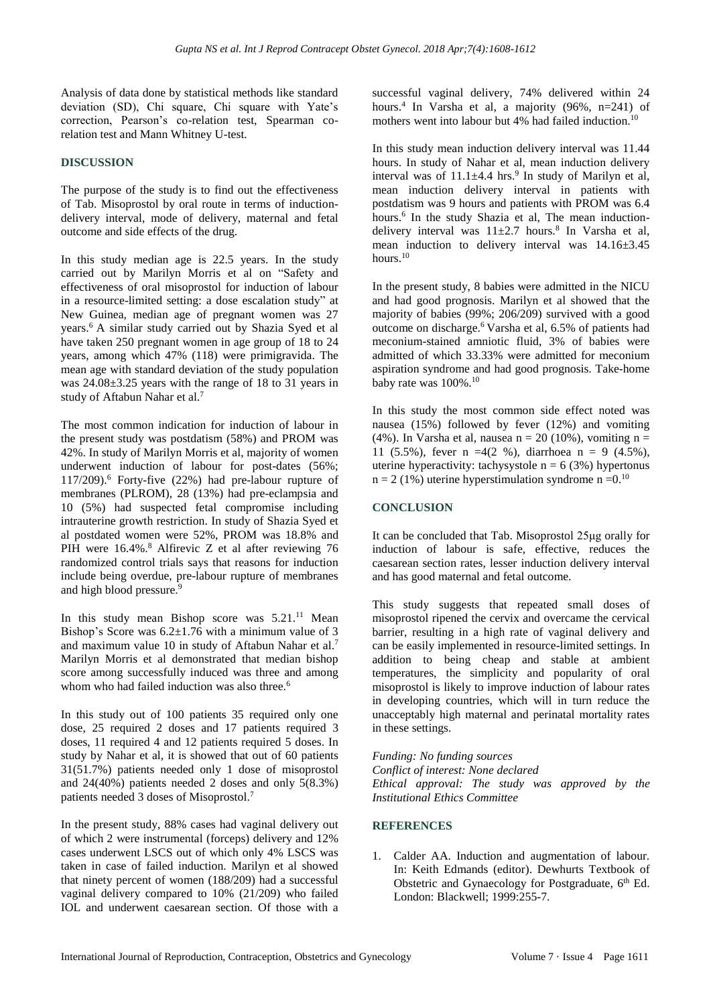Analysis of data done by statistical methods like standard deviation (SD), Chi square, Chi square with Yate's correction, Pearson's co-relation test, Spearman corelation test and Mann Whitney U-test.

## **DISCUSSION**

The purpose of the study is to find out the effectiveness of Tab. Misoprostol by oral route in terms of inductiondelivery interval, mode of delivery, maternal and fetal outcome and side effects of the drug.

In this study median age is 22.5 years. In the study carried out by Marilyn Morris et al on "Safety and effectiveness of oral misoprostol for induction of labour in a resource-limited setting: a dose escalation study" at New Guinea, median age of pregnant women was 27 years.<sup>6</sup> A similar study carried out by Shazia Syed et al have taken 250 pregnant women in age group of 18 to 24 years, among which 47% (118) were primigravida. The mean age with standard deviation of the study population was 24.08±3.25 years with the range of 18 to 31 years in study of Aftabun Nahar et al.<sup>7</sup>

The most common indication for induction of labour in the present study was postdatism (58%) and PROM was 42%. In study of Marilyn Morris et al, majority of women underwent induction of labour for post-dates (56%;  $117/209$ ).<sup>6</sup> Forty-five (22%) had pre-labour rupture of membranes (PLROM), 28 (13%) had pre-eclampsia and 10 (5%) had suspected fetal compromise including intrauterine growth restriction. In study of Shazia Syed et al postdated women were 52%, PROM was 18.8% and PIH were 16.4%.<sup>8</sup> Alfirevic Z et al after reviewing 76 randomized control trials says that reasons for induction include being overdue, pre-labour rupture of membranes and high blood pressure.<sup>9</sup>

In this study mean Bishop score was  $5.21$ .<sup>11</sup> Mean Bishop's Score was  $6.2 \pm 1.76$  with a minimum value of 3 and maximum value 10 in study of Aftabun Nahar et al.<sup>7</sup> Marilyn Morris et al demonstrated that median bishop score among successfully induced was three and among whom who had failed induction was also three.<sup>6</sup>

In this study out of 100 patients 35 required only one dose, 25 required 2 doses and 17 patients required 3 doses, 11 required 4 and 12 patients required 5 doses. In study by Nahar et al, it is showed that out of 60 patients 31(51.7%) patients needed only 1 dose of misoprostol and 24(40%) patients needed 2 doses and only 5(8.3%) patients needed 3 doses of Misoprostol.<sup>7</sup>

In the present study, 88% cases had vaginal delivery out of which 2 were instrumental (forceps) delivery and 12% cases underwent LSCS out of which only 4% LSCS was taken in case of failed induction. Marilyn et al showed that ninety percent of women (188/209) had a successful vaginal delivery compared to 10% (21/209) who failed IOL and underwent caesarean section. Of those with a successful vaginal delivery, 74% delivered within 24 hours. 4 In Varsha et al, a majority (96%, n=241) of mothers went into labour but 4% had failed induction.<sup>10</sup>

In this study mean induction delivery interval was 11.44 hours. In study of Nahar et al, mean induction delivery interval was of  $11.1 \pm 4.4$  hrs.<sup>9</sup> In study of Marilyn et al, mean induction delivery interval in patients with postdatism was 9 hours and patients with PROM was 6.4 hours.<sup>6</sup> In the study Shazia et al, The mean inductiondelivery interval was  $11\pm2.7$  hours.<sup>8</sup> In Varsha et al, mean induction to delivery interval was 14.16±3.45 hours.<sup>10</sup>

In the present study, 8 babies were admitted in the NICU and had good prognosis. Marilyn et al showed that the majority of babies (99%; 206/209) survived with a good outcome on discharge.<sup>6</sup> Varsha et al, 6.5% of patients had meconium-stained amniotic fluid, 3% of babies were admitted of which 33.33% were admitted for meconium aspiration syndrome and had good prognosis. Take-home baby rate was  $100\%$ .<sup>10</sup>

In this study the most common side effect noted was nausea (15%) followed by fever (12%) and vomiting (4%). In Varsha et al, nausea n = 20 (10%), vomiting n = 11 (5.5%), fever n =4(2 %), diarrhoea n = 9 (4.5%). uterine hyperactivity: tachysystole  $n = 6$  (3%) hypertonus  $n = 2$  (1%) uterine hyperstimulation syndrome  $n = 0.10$ 

# **CONCLUSION**

It can be concluded that Tab. Misoprostol 25μg orally for induction of labour is safe, effective, reduces the caesarean section rates, lesser induction delivery interval and has good maternal and fetal outcome.

This study suggests that repeated small doses of misoprostol ripened the cervix and overcame the cervical barrier, resulting in a high rate of vaginal delivery and can be easily implemented in resource-limited settings. In addition to being cheap and stable at ambient temperatures, the simplicity and popularity of oral misoprostol is likely to improve induction of labour rates in developing countries, which will in turn reduce the unacceptably high maternal and perinatal mortality rates in these settings.

*Funding: No funding sources Conflict of interest: None declared Ethical approval: The study was approved by the Institutional Ethics Committee*

#### **REFERENCES**

1. Calder AA. Induction and augmentation of labour. In: Keith Edmands (editor). Dewhurts Textbook of Obstetric and Gynaecology for Postgraduate, 6<sup>th</sup> Ed. London: Blackwell; 1999:255-7.